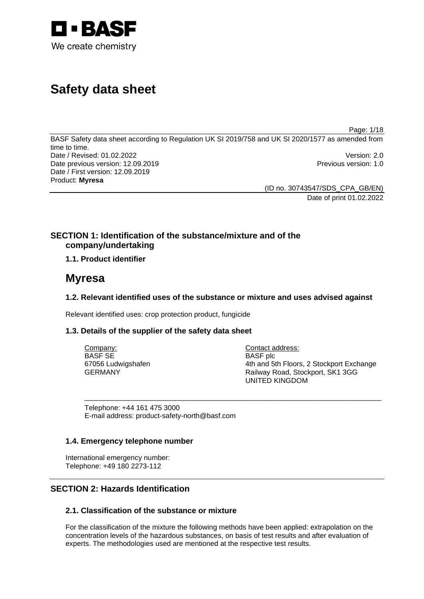

# **Safety data sheet**

Page: 1/18

BASF Safety data sheet according to Regulation UK SI 2019/758 and UK SI 2020/1577 as amended from time to time. Date / Revised: 01.02.2022 Version: 2.0 Date previous version: 12.09.2019 **Previous version: 1.0** Previous version: 1.0 Date / First version: 12.09.2019 Product: **Myresa** 

> (ID no. 30743547/SDS\_CPA\_GB/EN) Date of print 01.02.2022

## **SECTION 1: Identification of the substance/mixture and of the company/undertaking**

## **1.1. Product identifier**

## **Myresa**

## **1.2. Relevant identified uses of the substance or mixture and uses advised against**

Relevant identified uses: crop protection product, fungicide

## **1.3. Details of the supplier of the safety data sheet**

| Company:           | Contact address:                         |
|--------------------|------------------------------------------|
| BASF SE            | <b>BASF</b> plc                          |
| 67056 Ludwigshafen | 4th and 5th Floors, 2 Stockport Exchange |
| GERMANY            | Railway Road, Stockport, SK1 3GG         |
|                    | <b>UNITED KINGDOM</b>                    |

\_\_\_\_\_\_\_\_\_\_\_\_\_\_\_\_\_\_\_\_\_\_\_\_\_\_\_\_\_\_\_\_\_\_\_\_\_\_\_\_\_\_\_\_\_\_\_\_\_\_\_\_\_\_\_\_\_\_\_\_\_\_\_\_\_\_\_\_\_\_\_\_\_\_\_

Telephone: +44 161 475 3000 E-mail address: product-safety-north@basf.com

#### **1.4. Emergency telephone number**

International emergency number: Telephone: +49 180 2273-112

## **SECTION 2: Hazards Identification**

## **2.1. Classification of the substance or mixture**

For the classification of the mixture the following methods have been applied: extrapolation on the concentration levels of the hazardous substances, on basis of test results and after evaluation of experts. The methodologies used are mentioned at the respective test results.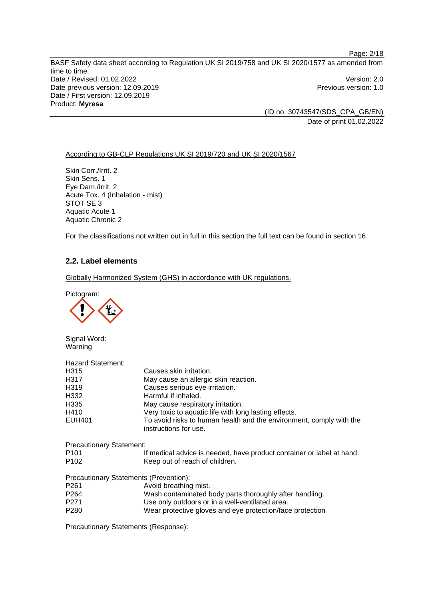(ID no. 30743547/SDS\_CPA\_GB/EN) Date of print 01.02.2022

#### According to GB-CLP Regulations UK SI 2019/720 and UK SI 2020/1567

Skin Corr./Irrit. 2 Skin Sens. 1 Eye Dam./Irrit. 2 Acute Tox. 4 (Inhalation - mist) STOT SE 3 Aquatic Acute 1 Aquatic Chronic 2

For the classifications not written out in full in this section the full text can be found in section 16.

### **2.2. Label elements**

Globally Harmonized System (GHS) in accordance with UK regulations.

Pictogram:

Signal Word: Warning

| <b>Hazard Statement:</b>        |                                                                                              |
|---------------------------------|----------------------------------------------------------------------------------------------|
| H315                            | Causes skin irritation.                                                                      |
| H <sub>3</sub> 17               | May cause an allergic skin reaction.                                                         |
| H <sub>319</sub>                | Causes serious eye irritation.                                                               |
| H332                            | Harmful if inhaled.                                                                          |
| H335                            | May cause respiratory irritation.                                                            |
| H410                            | Very toxic to aquatic life with long lasting effects.                                        |
| <b>EUH401</b>                   | To avoid risks to human health and the environment, comply with the<br>instructions for use. |
| <b>Precautionary Statement:</b> |                                                                                              |
| P <sub>101</sub>                | If medical advice is needed, have product container or label at hand.                        |
| P <sub>102</sub>                | Keep out of reach of children.                                                               |
|                                 | Precautionary Statements (Prevention):                                                       |
| P <sub>261</sub>                | Avoid breathing mist.                                                                        |
| P <sub>264</sub>                | Wash contaminated body parts thoroughly after handling.                                      |
| P <sub>271</sub>                | Use only outdoors or in a well-ventilated area.                                              |
| P <sub>280</sub>                | Wear protective gloves and eye protection/face protection                                    |

Precautionary Statements (Response):

Page: 2/18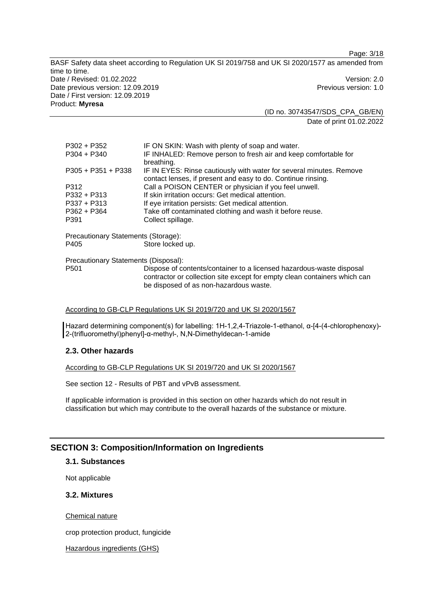(ID no. 30743547/SDS\_CPA\_GB/EN) Date of print 01.02.2022

Page: 3/18

| $P302 + P352$<br>$P304 + P340$       | IF ON SKIN: Wash with plenty of soap and water.<br>IF INHALED: Remove person to fresh air and keep comfortable for                                                                          |  |  |  |
|--------------------------------------|---------------------------------------------------------------------------------------------------------------------------------------------------------------------------------------------|--|--|--|
| $P305 + P351 + P338$                 | breathing.<br>IF IN EYES: Rinse cautiously with water for several minutes. Remove<br>contact lenses, if present and easy to do. Continue rinsing.                                           |  |  |  |
| P312                                 | Call a POISON CENTER or physician if you feel unwell.                                                                                                                                       |  |  |  |
| $P332 + P313$                        | If skin irritation occurs: Get medical attention.                                                                                                                                           |  |  |  |
| $P337 + P313$                        | If eye irritation persists: Get medical attention.                                                                                                                                          |  |  |  |
| $P362 + P364$                        | Take off contaminated clothing and wash it before reuse.                                                                                                                                    |  |  |  |
| P391                                 | Collect spillage.                                                                                                                                                                           |  |  |  |
| Precautionary Statements (Storage):  |                                                                                                                                                                                             |  |  |  |
| P405                                 | Store locked up.                                                                                                                                                                            |  |  |  |
| Precautionary Statements (Disposal): |                                                                                                                                                                                             |  |  |  |
| P <sub>501</sub>                     | Dispose of contents/container to a licensed hazardous-waste disposal<br>contractor or collection site except for empty clean containers which can<br>be disposed of as non-hazardous waste. |  |  |  |

#### According to GB-CLP Regulations UK SI 2019/720 and UK SI 2020/1567

Hazard determining component(s) for labelling: 1H-1,2,4-Triazole-1-ethanol, α-[4-(4-chlorophenoxy)- 2-(trifluoromethyl)phenyl]-α-methyl-, N,N-Dimethyldecan-1-amide

#### **2.3. Other hazards**

According to GB-CLP Regulations UK SI 2019/720 and UK SI 2020/1567

See section 12 - Results of PBT and vPvB assessment.

If applicable information is provided in this section on other hazards which do not result in classification but which may contribute to the overall hazards of the substance or mixture.

## **SECTION 3: Composition/Information on Ingredients**

#### **3.1. Substances**

Not applicable

## **3.2. Mixtures**

Chemical nature

crop protection product, fungicide

Hazardous ingredients (GHS)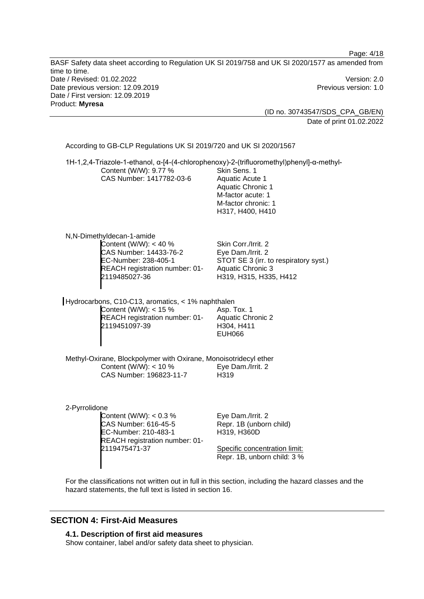Page: 4/18 BASF Safety data sheet according to Regulation UK SI 2019/758 and UK SI 2020/1577 as amended from time to time. Date / Revised: 01.02.2022 Version: 2.0 Date previous version: 12.09.2019 **Previous version: 1.0** Previous version: 1.0 Date / First version: 12.09.2019 Product: **Myresa**  (ID no. 30743547/SDS\_CPA\_GB/EN) Date of print 01.02.2022 According to GB-CLP Regulations UK SI 2019/720 and UK SI 2020/1567 1H-1,2,4-Triazole-1-ethanol, α-[4-(4-chlorophenoxy)-2-(trifluoromethyl)phenyl]-α-methyl-Content (W/W): 9.77 % CAS Number: 1417782-03-6 Skin Sens. 1 Aquatic Acute 1 Aquatic Chronic 1 M-factor acute: 1 M-factor chronic: 1 H317, H400, H410 N,N-Dimethyldecan-1-amide Content (W/W): < 40 % CAS Number: 14433-76-2 EC-Number: 238-405-1 REACH registration number: 01- Skin Corr./Irrit. 2 Eye Dam./Irrit. 2 STOT SE 3 (irr. to respiratory syst.) Aquatic Chronic 3

Hydrocarbons, C10-C13, aromatics, < 1% naphthalen Content (W/W): < 15 % REACH registration number: 01- 2119451097-39 Asp. Tox. 1 Aquatic Chronic 2 H304, H411 EUH066

2119485027-36

Methyl-Oxirane, Blockpolymer with Oxirane, Monoisotridecyl ether Content (W/W): < 10 % CAS Number: 196823-11-7 Eye Dam./Irrit. 2 H319

#### 2-Pyrrolidone

Content (W/W): < 0.3 % CAS Number: 616-45-5 EC-Number: 210-483-1 REACH registration number: 01- 2119475471-37

Eye Dam./Irrit. 2 Repr. 1B (unborn child) H319, H360D

H319, H315, H335, H412

Specific concentration limit: Repr. 1B, unborn child: 3 %

For the classifications not written out in full in this section, including the hazard classes and the hazard statements, the full text is listed in section 16.

## **SECTION 4: First-Aid Measures**

**4.1. Description of first aid measures** 

Show container, label and/or safety data sheet to physician.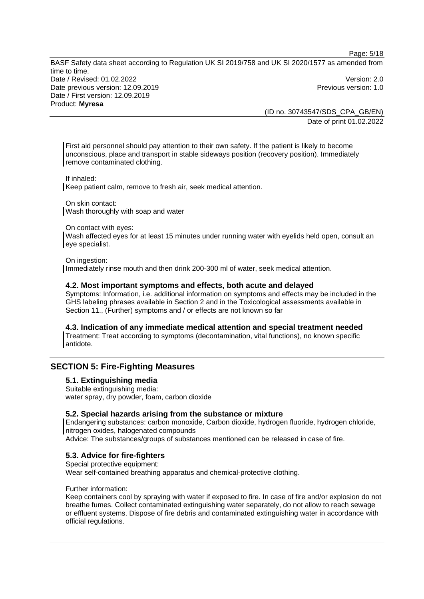(ID no. 30743547/SDS\_CPA\_GB/EN) Date of print 01.02.2022

Page: 5/18

First aid personnel should pay attention to their own safety. If the patient is likely to become unconscious, place and transport in stable sideways position (recovery position). Immediately remove contaminated clothing.

If inhaled:

Keep patient calm, remove to fresh air, seek medical attention.

On skin contact: Wash thoroughly with soap and water

On contact with eyes:

Wash affected eyes for at least 15 minutes under running water with eyelids held open, consult an eye specialist.

On ingestion:

Immediately rinse mouth and then drink 200-300 ml of water, seek medical attention.

#### **4.2. Most important symptoms and effects, both acute and delayed**

Symptoms: Information, i.e. additional information on symptoms and effects may be included in the GHS labeling phrases available in Section 2 and in the Toxicological assessments available in Section 11., (Further) symptoms and / or effects are not known so far

**4.3. Indication of any immediate medical attention and special treatment needed**  Treatment: Treat according to symptoms (decontamination, vital functions), no known specific antidote.

#### **SECTION 5: Fire-Fighting Measures**

#### **5.1. Extinguishing media**

Suitable extinguishing media: water spray, dry powder, foam, carbon dioxide

#### **5.2. Special hazards arising from the substance or mixture**

Endangering substances: carbon monoxide, Carbon dioxide, hydrogen fluoride, hydrogen chloride, nitrogen oxides, halogenated compounds

Advice: The substances/groups of substances mentioned can be released in case of fire.

#### **5.3. Advice for fire-fighters**

Special protective equipment: Wear self-contained breathing apparatus and chemical-protective clothing.

#### Further information:

Keep containers cool by spraying with water if exposed to fire. In case of fire and/or explosion do not breathe fumes. Collect contaminated extinguishing water separately, do not allow to reach sewage or effluent systems. Dispose of fire debris and contaminated extinguishing water in accordance with official regulations.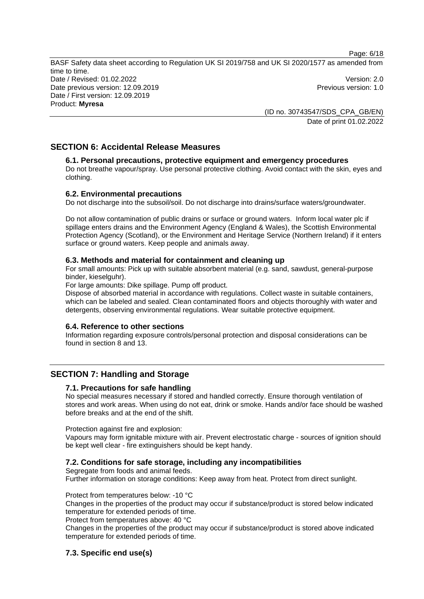> (ID no. 30743547/SDS\_CPA\_GB/EN) Date of print 01.02.2022

## **SECTION 6: Accidental Release Measures**

## **6.1. Personal precautions, protective equipment and emergency procedures**

Do not breathe vapour/spray. Use personal protective clothing. Avoid contact with the skin, eyes and clothing.

## **6.2. Environmental precautions**

Do not discharge into the subsoil/soil. Do not discharge into drains/surface waters/groundwater.

Do not allow contamination of public drains or surface or ground waters. Inform local water plc if spillage enters drains and the Environment Agency (England & Wales), the Scottish Environmental Protection Agency (Scotland), or the Environment and Heritage Service (Northern Ireland) if it enters surface or ground waters. Keep people and animals away.

#### **6.3. Methods and material for containment and cleaning up**

For small amounts: Pick up with suitable absorbent material (e.g. sand, sawdust, general-purpose binder, kieselguhr).

For large amounts: Dike spillage. Pump off product.

Dispose of absorbed material in accordance with regulations. Collect waste in suitable containers, which can be labeled and sealed. Clean contaminated floors and objects thoroughly with water and detergents, observing environmental regulations. Wear suitable protective equipment.

## **6.4. Reference to other sections**

Information regarding exposure controls/personal protection and disposal considerations can be found in section 8 and 13.

## **SECTION 7: Handling and Storage**

#### **7.1. Precautions for safe handling**

No special measures necessary if stored and handled correctly. Ensure thorough ventilation of stores and work areas. When using do not eat, drink or smoke. Hands and/or face should be washed before breaks and at the end of the shift.

Protection against fire and explosion:

Vapours may form ignitable mixture with air. Prevent electrostatic charge - sources of ignition should be kept well clear - fire extinguishers should be kept handy.

#### **7.2. Conditions for safe storage, including any incompatibilities**

Segregate from foods and animal feeds.

Further information on storage conditions: Keep away from heat. Protect from direct sunlight.

Protect from temperatures below: -10 °C

Changes in the properties of the product may occur if substance/product is stored below indicated temperature for extended periods of time.

Protect from temperatures above: 40 °C

Changes in the properties of the product may occur if substance/product is stored above indicated temperature for extended periods of time.

## **7.3. Specific end use(s)**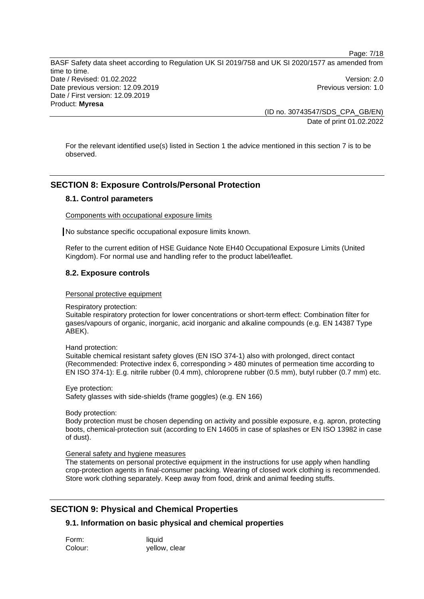> (ID no. 30743547/SDS\_CPA\_GB/EN) Date of print 01.02.2022

Page: 7/18

For the relevant identified use(s) listed in Section 1 the advice mentioned in this section 7 is to be observed.

## **SECTION 8: Exposure Controls/Personal Protection**

#### **8.1. Control parameters**

Components with occupational exposure limits

No substance specific occupational exposure limits known.

Refer to the current edition of HSE Guidance Note EH40 Occupational Exposure Limits (United Kingdom). For normal use and handling refer to the product label/leaflet.

#### **8.2. Exposure controls**

#### Personal protective equipment

Respiratory protection:

Suitable respiratory protection for lower concentrations or short-term effect: Combination filter for gases/vapours of organic, inorganic, acid inorganic and alkaline compounds (e.g. EN 14387 Type ABEK).

Hand protection:

Suitable chemical resistant safety gloves (EN ISO 374-1) also with prolonged, direct contact (Recommended: Protective index 6, corresponding > 480 minutes of permeation time according to EN ISO 374-1): E.g. nitrile rubber (0.4 mm), chloroprene rubber (0.5 mm), butyl rubber (0.7 mm) etc.

Eye protection: Safety glasses with side-shields (frame goggles) (e.g. EN 166)

Body protection:

Body protection must be chosen depending on activity and possible exposure, e.g. apron, protecting boots, chemical-protection suit (according to EN 14605 in case of splashes or EN ISO 13982 in case of dust).

#### General safety and hygiene measures

The statements on personal protective equipment in the instructions for use apply when handling crop-protection agents in final-consumer packing. Wearing of closed work clothing is recommended. Store work clothing separately. Keep away from food, drink and animal feeding stuffs.

#### **SECTION 9: Physical and Chemical Properties**

#### **9.1. Information on basic physical and chemical properties**

| Form:   | liquid        |
|---------|---------------|
| Colour: | yellow, clear |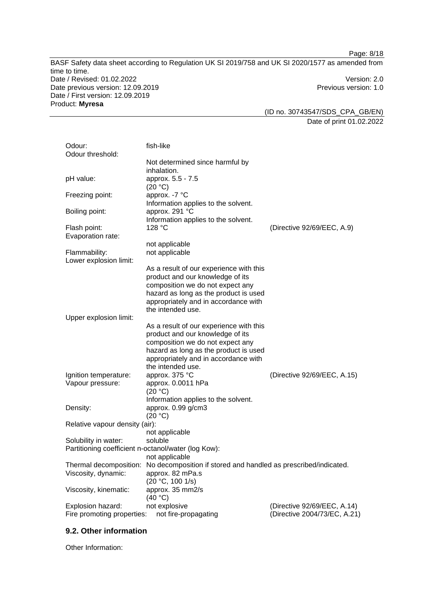(ID no. 30743547/SDS\_CPA\_GB/EN) Date of print 01.02.2022

Page: 8/18

| Odour:<br>Odour threshold:                          | fish-like                                                       |                              |
|-----------------------------------------------------|-----------------------------------------------------------------|------------------------------|
|                                                     | Not determined since harmful by<br>inhalation.                  |                              |
| pH value:                                           | approx. 5.5 - 7.5<br>(20 °C)                                    |                              |
| Freezing point:                                     | approx. -7 °C<br>Information applies to the solvent.            |                              |
| Boiling point:                                      | approx. 291 °C<br>Information applies to the solvent.           |                              |
| Flash point:<br>Evaporation rate:                   | 128 °C                                                          | (Directive 92/69/EEC, A.9)   |
|                                                     | not applicable                                                  |                              |
| Flammability:                                       | not applicable                                                  |                              |
| Lower explosion limit:                              |                                                                 |                              |
|                                                     | As a result of our experience with this                         |                              |
|                                                     | product and our knowledge of its                                |                              |
|                                                     | composition we do not expect any                                |                              |
|                                                     | hazard as long as the product is used                           |                              |
|                                                     | appropriately and in accordance with                            |                              |
|                                                     | the intended use.                                               |                              |
|                                                     |                                                                 |                              |
| Upper explosion limit:                              |                                                                 |                              |
|                                                     | As a result of our experience with this                         |                              |
|                                                     | product and our knowledge of its                                |                              |
|                                                     | composition we do not expect any                                |                              |
|                                                     | hazard as long as the product is used                           |                              |
|                                                     | appropriately and in accordance with                            |                              |
|                                                     | the intended use.                                               |                              |
| Ignition temperature:                               | approx. 375 °C                                                  | (Directive 92/69/EEC, A.15)  |
| Vapour pressure:                                    | approx. 0.0011 hPa<br>(20 °C)                                   |                              |
|                                                     | Information applies to the solvent.                             |                              |
| Density:                                            | approx. 0.99 g/cm3                                              |                              |
|                                                     | (20 °C)                                                         |                              |
| Relative vapour density (air):                      |                                                                 |                              |
|                                                     | not applicable                                                  |                              |
| Solubility in water:                                | soluble                                                         |                              |
| Partitioning coefficient n-octanol/water (log Kow): |                                                                 |                              |
|                                                     | not applicable                                                  |                              |
| Thermal decomposition:                              | No decomposition if stored and handled as prescribed/indicated. |                              |
|                                                     |                                                                 |                              |
| Viscosity, dynamic:                                 | approx. 82 mPa.s                                                |                              |
|                                                     | (20 °C, 100 1/s)                                                |                              |
| Viscosity, kinematic:                               | approx. 35 mm2/s                                                |                              |
|                                                     | (40 °C)                                                         |                              |
| Explosion hazard:                                   | not explosive                                                   | (Directive 92/69/EEC, A.14)  |
| Fire promoting properties:                          | not fire-propagating                                            | (Directive 2004/73/EC, A.21) |

#### **9.2. Other information**

Other Information: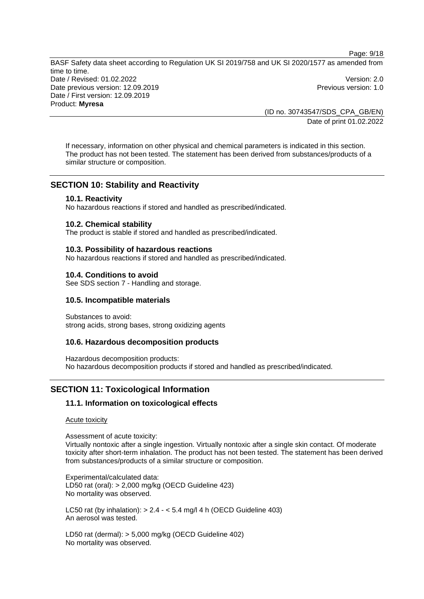(ID no. 30743547/SDS\_CPA\_GB/EN) Date of print 01.02.2022

Page: 9/18

If necessary, information on other physical and chemical parameters is indicated in this section. The product has not been tested. The statement has been derived from substances/products of a similar structure or composition.

#### **SECTION 10: Stability and Reactivity**

#### **10.1. Reactivity**

No hazardous reactions if stored and handled as prescribed/indicated.

#### **10.2. Chemical stability**

The product is stable if stored and handled as prescribed/indicated.

#### **10.3. Possibility of hazardous reactions**

No hazardous reactions if stored and handled as prescribed/indicated.

#### **10.4. Conditions to avoid**

See SDS section 7 - Handling and storage.

#### **10.5. Incompatible materials**

Substances to avoid: strong acids, strong bases, strong oxidizing agents

#### **10.6. Hazardous decomposition products**

Hazardous decomposition products: No hazardous decomposition products if stored and handled as prescribed/indicated.

#### **SECTION 11: Toxicological Information**

#### **11.1. Information on toxicological effects**

Acute toxicity

Assessment of acute toxicity:

Virtually nontoxic after a single ingestion. Virtually nontoxic after a single skin contact. Of moderate toxicity after short-term inhalation. The product has not been tested. The statement has been derived from substances/products of a similar structure or composition.

Experimental/calculated data: LD50 rat (oral): > 2,000 mg/kg (OECD Guideline 423) No mortality was observed.

LC50 rat (by inhalation):  $> 2.4 - 5.4$  mg/l 4 h (OECD Guideline 403) An aerosol was tested.

LD50 rat (dermal): > 5,000 mg/kg (OECD Guideline 402) No mortality was observed.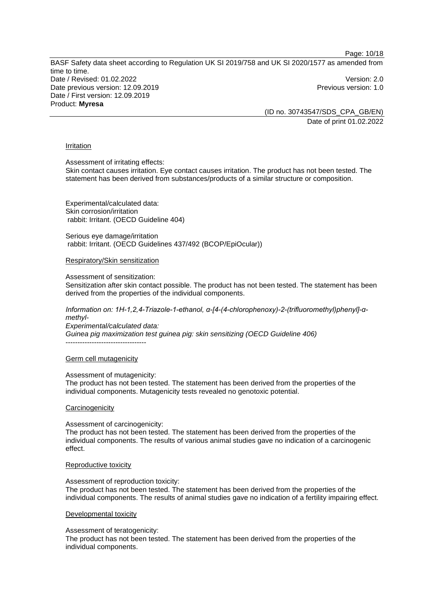Page: 10/18

BASF Safety data sheet according to Regulation UK SI 2019/758 and UK SI 2020/1577 as amended from time to time. Date / Revised: 01.02.2022 Version: 2.0 Date previous version: 12.09.2019 **Previous version: 1.0** Previous version: 1.0 Date / First version: 12.09.2019 Product: **Myresa** 

(ID no. 30743547/SDS\_CPA\_GB/EN) Date of print 01.02.2022

#### Irritation

Assessment of irritating effects:

Skin contact causes irritation. Eye contact causes irritation. The product has not been tested. The statement has been derived from substances/products of a similar structure or composition.

Experimental/calculated data: Skin corrosion/irritation rabbit: Irritant. (OECD Guideline 404)

Serious eye damage/irritation rabbit: Irritant. (OECD Guidelines 437/492 (BCOP/EpiOcular))

Respiratory/Skin sensitization

Assessment of sensitization:

Sensitization after skin contact possible. The product has not been tested. The statement has been derived from the properties of the individual components.

*Information on: 1H-1,2,4-Triazole-1-ethanol, α-[4-(4-chlorophenoxy)-2-(trifluoromethyl)phenyl]-αmethyl-*

*Experimental/calculated data: Guinea pig maximization test guinea pig: skin sensitizing (OECD Guideline 406)* -----------------------------------

#### Germ cell mutagenicity

Assessment of mutagenicity:

The product has not been tested. The statement has been derived from the properties of the individual components. Mutagenicity tests revealed no genotoxic potential.

#### **Carcinogenicity**

Assessment of carcinogenicity:

The product has not been tested. The statement has been derived from the properties of the individual components. The results of various animal studies gave no indication of a carcinogenic effect.

#### Reproductive toxicity

Assessment of reproduction toxicity: The product has not been tested. The statement has been derived from the properties of the individual components. The results of animal studies gave no indication of a fertility impairing effect.

#### Developmental toxicity

Assessment of teratogenicity:

The product has not been tested. The statement has been derived from the properties of the individual components.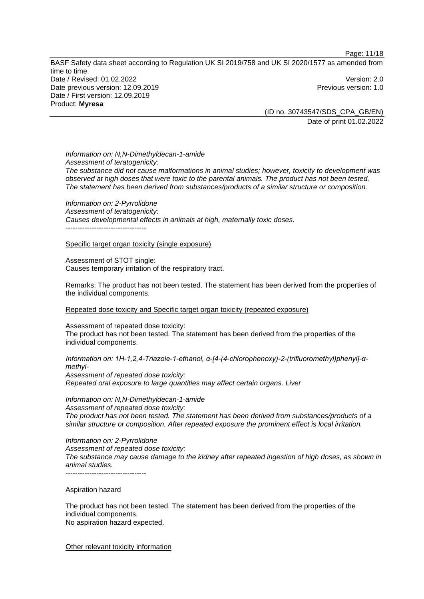Page: 11/18

BASF Safety data sheet according to Regulation UK SI 2019/758 and UK SI 2020/1577 as amended from time to time. Date / Revised: 01.02.2022 Version: 2.0 Date previous version: 12.09.2019 **Previous version: 1.0** Previous version: 1.0 Date / First version: 12.09.2019 Product: **Myresa** 

(ID no. 30743547/SDS\_CPA\_GB/EN) Date of print 01.02.2022

*Information on: N,N-Dimethyldecan-1-amide Assessment of teratogenicity: The substance did not cause malformations in animal studies; however, toxicity to development was observed at high doses that were toxic to the parental animals. The product has not been tested. The statement has been derived from substances/products of a similar structure or composition.* 

*Information on: 2-Pyrrolidone Assessment of teratogenicity: Causes developmental effects in animals at high, maternally toxic doses.*  ----------------------------------

Specific target organ toxicity (single exposure)

Assessment of STOT single: Causes temporary irritation of the respiratory tract.

Remarks: The product has not been tested. The statement has been derived from the properties of the individual components.

Repeated dose toxicity and Specific target organ toxicity (repeated exposure)

Assessment of repeated dose toxicity: The product has not been tested. The statement has been derived from the properties of the individual components.

*Information on: 1H-1,2,4-Triazole-1-ethanol, α-[4-(4-chlorophenoxy)-2-(trifluoromethyl)phenyl]-αmethyl-Assessment of repeated dose toxicity: Repeated oral exposure to large quantities may affect certain organs. Liver* 

*Information on: N,N-Dimethyldecan-1-amide Assessment of repeated dose toxicity: The product has not been tested. The statement has been derived from substances/products of a similar structure or composition. After repeated exposure the prominent effect is local irritation.* 

*Information on: 2-Pyrrolidone Assessment of repeated dose toxicity: The substance may cause damage to the kidney after repeated ingestion of high doses, as shown in animal studies.*   $-$ 

#### Aspiration hazard

The product has not been tested. The statement has been derived from the properties of the individual components. No aspiration hazard expected.

Other relevant toxicity information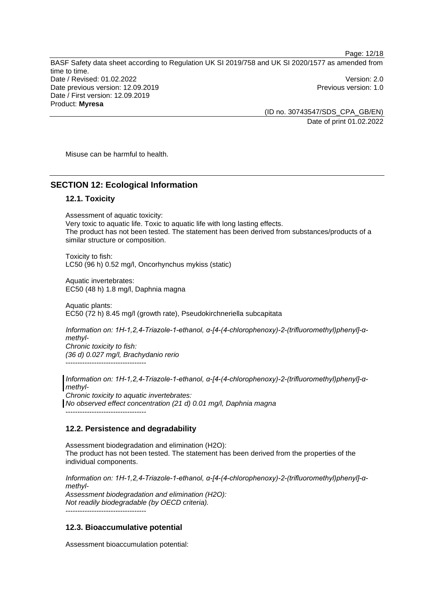Page: 12/18

BASF Safety data sheet according to Regulation UK SI 2019/758 and UK SI 2020/1577 as amended from time to time. Date / Revised: 01.02.2022 Version: 2.0 Date previous version: 12.09.2019 **Previous version: 1.0** Previous version: 1.0 Date / First version: 12.09.2019 Product: **Myresa** 

(ID no. 30743547/SDS\_CPA\_GB/EN) Date of print 01.02.2022

Misuse can be harmful to health.

#### **SECTION 12: Ecological Information**

#### **12.1. Toxicity**

Assessment of aquatic toxicity: Very toxic to aquatic life. Toxic to aquatic life with long lasting effects. The product has not been tested. The statement has been derived from substances/products of a similar structure or composition.

Toxicity to fish: LC50 (96 h) 0.52 mg/l, Oncorhynchus mykiss (static)

Aquatic invertebrates: EC50 (48 h) 1.8 mg/l, Daphnia magna

Aquatic plants: EC50 (72 h) 8.45 mg/l (growth rate), Pseudokirchneriella subcapitata

*Information on: 1H-1,2,4-Triazole-1-ethanol, α-[4-(4-chlorophenoxy)-2-(trifluoromethyl)phenyl]-αmethyl-Chronic toxicity to fish: (36 d) 0.027 mg/l, Brachydanio rerio*  ----------------------------------

*Information on: 1H-1,2,4-Triazole-1-ethanol, α-[4-(4-chlorophenoxy)-2-(trifluoromethyl)phenyl]-αmethyl-Chronic toxicity to aquatic invertebrates: No observed effect concentration (21 d) 0.01 mg/l, Daphnia magna*  ----------------------------------

#### **12.2. Persistence and degradability**

Assessment biodegradation and elimination (H2O): The product has not been tested. The statement has been derived from the properties of the individual components.

*Information on: 1H-1,2,4-Triazole-1-ethanol, α-[4-(4-chlorophenoxy)-2-(trifluoromethyl)phenyl]-αmethyl-Assessment biodegradation and elimination (H2O): Not readily biodegradable (by OECD criteria).*  ----------------------------------

#### **12.3. Bioaccumulative potential**

Assessment bioaccumulation potential: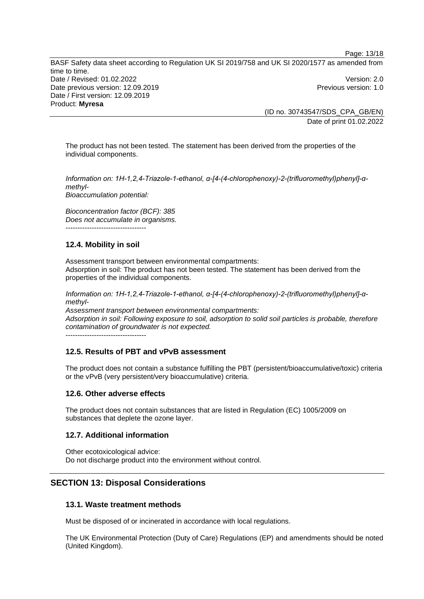(ID no. 30743547/SDS\_CPA\_GB/EN) Date of print 01.02.2022

Page: 13/18

The product has not been tested. The statement has been derived from the properties of the individual components.

*Information on: 1H-1,2,4-Triazole-1-ethanol, α-[4-(4-chlorophenoxy)-2-(trifluoromethyl)phenyl]-αmethyl-Bioaccumulation potential:* 

*Bioconcentration factor (BCF): 385 Does not accumulate in organisms.*  ----------------------------------

#### **12.4. Mobility in soil**

Assessment transport between environmental compartments: Adsorption in soil: The product has not been tested. The statement has been derived from the properties of the individual components.

*Information on: 1H-1,2,4-Triazole-1-ethanol, α-[4-(4-chlorophenoxy)-2-(trifluoromethyl)phenyl]-αmethyl-Assessment transport between environmental compartments:*

*Adsorption in soil: Following exposure to soil, adsorption to solid soil particles is probable, therefore contamination of groundwater is not expected.* ----------------------------------

## **12.5. Results of PBT and vPvB assessment**

The product does not contain a substance fulfilling the PBT (persistent/bioaccumulative/toxic) criteria or the vPvB (very persistent/very bioaccumulative) criteria.

#### **12.6. Other adverse effects**

The product does not contain substances that are listed in Regulation (EC) 1005/2009 on substances that deplete the ozone layer.

#### **12.7. Additional information**

Other ecotoxicological advice: Do not discharge product into the environment without control.

## **SECTION 13: Disposal Considerations**

#### **13.1. Waste treatment methods**

Must be disposed of or incinerated in accordance with local regulations.

The UK Environmental Protection (Duty of Care) Regulations (EP) and amendments should be noted (United Kingdom).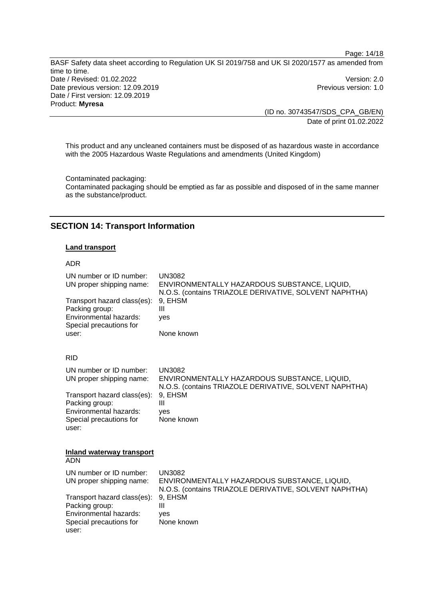(ID no. 30743547/SDS\_CPA\_GB/EN) Date of print 01.02.2022

Page: 14/18

This product and any uncleaned containers must be disposed of as hazardous waste in accordance with the 2005 Hazardous Waste Regulations and amendments (United Kingdom)

Contaminated packaging: Contaminated packaging should be emptied as far as possible and disposed of in the same manner as the substance/product.

#### **SECTION 14: Transport Information**

#### **Land transport**

#### ADR

| UN number or ID number:<br>UN proper shipping name:<br>Transport hazard class(es):<br>Packing group:<br>Environmental hazards:<br>Special precautions for<br>user: | <b>UN3082</b><br>ENVIRONMENTALLY HAZARDOUS SUBSTANCE, LIQUID,<br>N.O.S. (contains TRIAZOLE DERIVATIVE, SOLVENT NAPHTHA)<br>9, EHSM<br>Ш<br>ves<br>None known |  |  |  |
|--------------------------------------------------------------------------------------------------------------------------------------------------------------------|--------------------------------------------------------------------------------------------------------------------------------------------------------------|--|--|--|
| <b>RID</b>                                                                                                                                                         |                                                                                                                                                              |  |  |  |
| UN number or ID number:<br>UN proper shipping name:                                                                                                                | <b>UN3082</b><br>ENVIRONMENTALLY HAZARDOUS SUBSTANCE, LIQUID,<br>N.O.S. (contains TRIAZOLE DERIVATIVE, SOLVENT NAPHTHA)                                      |  |  |  |
| Transport hazard class(es):<br>Packing group:<br>Environmental hazards:<br>Special precautions for<br>user:                                                        | 9, EHSM<br>Ш<br>yes<br>None known                                                                                                                            |  |  |  |
| Inland waterway transport<br>ADN                                                                                                                                   |                                                                                                                                                              |  |  |  |
| UN number or ID number:<br>UN proper shipping name:                                                                                                                | <b>UN3082</b><br>ENVIRONMENTALLY HAZARDOUS SUBSTANCE, LIQUID,<br>N.O.S. (contains TRIAZOLE DERIVATIVE, SOLVENT NAPHTHA)                                      |  |  |  |
| Transport hazard class(es):<br>Packing group:<br>Environmental hazards:<br>Special precautions for<br>user:                                                        | 9, EHSM<br>Ш<br>ves<br>None known                                                                                                                            |  |  |  |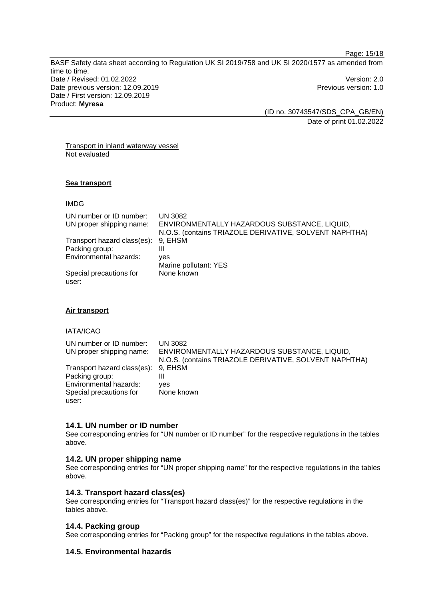Page: 15/18

BASF Safety data sheet according to Regulation UK SI 2019/758 and UK SI 2020/1577 as amended from time to time. Date / Revised: 01.02.2022 Version: 2.0 Date previous version: 12.09.2019 **Previous version: 1.0** Previous version: 1.0 Date / First version: 12.09.2019 Product: **Myresa** 

(ID no. 30743547/SDS\_CPA\_GB/EN) Date of print 01.02.2022

Transport in inland waterway vessel Not evaluated

#### **Sea transport**

IMDG

| UN number or ID number:     | <b>UN 3082</b>                                         |
|-----------------------------|--------------------------------------------------------|
| UN proper shipping name:    | ENVIRONMENTALLY HAZARDOUS SUBSTANCE, LIQUID,           |
|                             | N.O.S. (contains TRIAZOLE DERIVATIVE, SOLVENT NAPHTHA) |
| Transport hazard class(es): | 9, EHSM                                                |
| Packing group:              | Ш                                                      |
| Environmental hazards:      | ves                                                    |
|                             | Marine pollutant: YES                                  |
| Special precautions for     | None known                                             |
| user:                       |                                                        |

#### **Air transport**

IATA/ICAO

| UN number or ID number:<br>UN proper shipping name: | UN 3082<br>ENVIRONMENTALLY HAZARDOUS SUBSTANCE, LIQUID,<br>N.O.S. (contains TRIAZOLE DERIVATIVE, SOLVENT NAPHTHA) |
|-----------------------------------------------------|-------------------------------------------------------------------------------------------------------------------|
| Transport hazard class(es):                         | 9. EHSM                                                                                                           |
| Packing group:                                      | Ш                                                                                                                 |
| Environmental hazards:                              | ves                                                                                                               |
| Special precautions for                             | None known                                                                                                        |
| user:                                               |                                                                                                                   |

#### **14.1. UN number or ID number**

See corresponding entries for "UN number or ID number" for the respective regulations in the tables above.

#### **14.2. UN proper shipping name**

See corresponding entries for "UN proper shipping name" for the respective regulations in the tables above.

#### **14.3. Transport hazard class(es)**

See corresponding entries for "Transport hazard class(es)" for the respective regulations in the tables above.

#### **14.4. Packing group**

See corresponding entries for "Packing group" for the respective regulations in the tables above.

#### **14.5. Environmental hazards**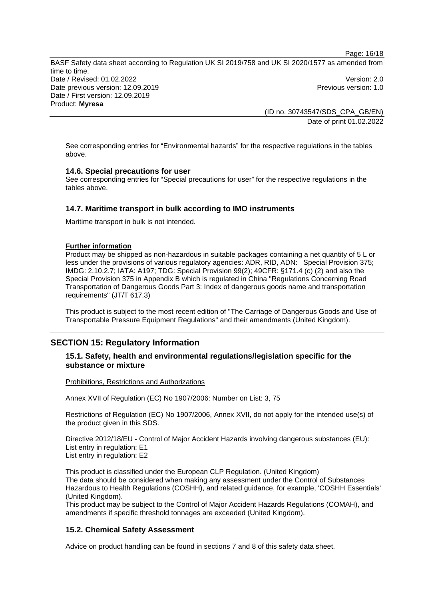Page: 16/18

BASF Safety data sheet according to Regulation UK SI 2019/758 and UK SI 2020/1577 as amended from time to time. Date / Revised: 01.02.2022 Version: 2.0 Date previous version: 12.09.2019 **Previous version: 1.0** Previous version: 1.0 Date / First version: 12.09.2019 Product: **Myresa** 

(ID no. 30743547/SDS\_CPA\_GB/EN) Date of print 01.02.2022

See corresponding entries for "Environmental hazards" for the respective regulations in the tables above.

#### **14.6. Special precautions for user**

See corresponding entries for "Special precautions for user" for the respective regulations in the tables above.

#### **14.7. Maritime transport in bulk according to IMO instruments**

Maritime transport in bulk is not intended.

#### **Further information**

Product may be shipped as non-hazardous in suitable packages containing a net quantity of 5 L or less under the provisions of various regulatory agencies: ADR, RID, ADN: Special Provision 375; IMDG: 2.10.2.7; IATA: A197; TDG: Special Provision 99(2); 49CFR: §171.4 (c) (2) and also the Special Provision 375 in Appendix B which is regulated in China "Regulations Concerning Road Transportation of Dangerous Goods Part 3: Index of dangerous goods name and transportation requirements" (JT/T 617.3)

This product is subject to the most recent edition of "The Carriage of Dangerous Goods and Use of Transportable Pressure Equipment Regulations" and their amendments (United Kingdom).

## **SECTION 15: Regulatory Information**

#### **15.1. Safety, health and environmental regulations/legislation specific for the substance or mixture**

#### Prohibitions, Restrictions and Authorizations

Annex XVII of Regulation (EC) No 1907/2006: Number on List: 3, 75

Restrictions of Regulation (EC) No 1907/2006, Annex XVII, do not apply for the intended use(s) of the product given in this SDS.

Directive 2012/18/EU - Control of Major Accident Hazards involving dangerous substances (EU): List entry in regulation: E1 List entry in regulation: E2

This product is classified under the European CLP Regulation. (United Kingdom) The data should be considered when making any assessment under the Control of Substances Hazardous to Health Regulations (COSHH), and related guidance, for example, 'COSHH Essentials' (United Kingdom).

This product may be subject to the Control of Major Accident Hazards Regulations (COMAH), and amendments if specific threshold tonnages are exceeded (United Kingdom).

#### **15.2. Chemical Safety Assessment**

Advice on product handling can be found in sections 7 and 8 of this safety data sheet.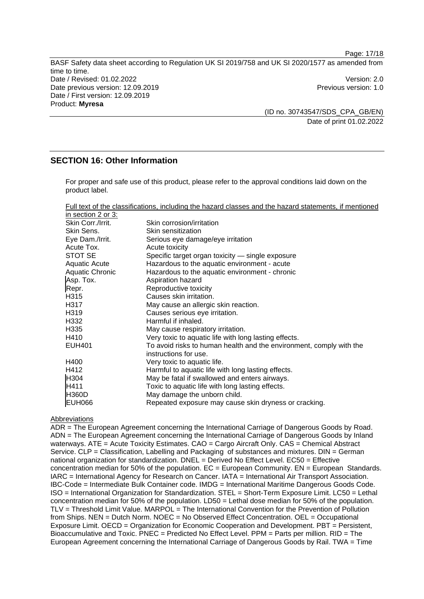(ID no. 30743547/SDS\_CPA\_GB/EN) Date of print 01.02.2022

## **SECTION 16: Other Information**

For proper and safe use of this product, please refer to the approval conditions laid down on the product label.

| Full text of the classifications, including the hazard classes and the hazard statements, if mentioned |  |  |  |  |
|--------------------------------------------------------------------------------------------------------|--|--|--|--|
| $in$ coofiers $\Omega$ or $\Omega$ .                                                                   |  |  |  |  |

| In section 2 or 3.   |                                                                                              |
|----------------------|----------------------------------------------------------------------------------------------|
| Skin Corr./Irrit.    | Skin corrosion/irritation                                                                    |
| Skin Sens.           | Skin sensitization                                                                           |
| Eye Dam./Irrit.      | Serious eye damage/eye irritation                                                            |
| Acute Tox.           | Acute toxicity                                                                               |
| STOT SE              | Specific target organ toxicity - single exposure                                             |
| <b>Aquatic Acute</b> | Hazardous to the aquatic environment - acute                                                 |
| Aquatic Chronic      | Hazardous to the aquatic environment - chronic                                               |
| Asp. Tox.            | Aspiration hazard                                                                            |
| Repr.                | Reproductive toxicity                                                                        |
| H315                 | Causes skin irritation.                                                                      |
| H317                 | May cause an allergic skin reaction.                                                         |
| H319                 | Causes serious eye irritation.                                                               |
| H332                 | Harmful if inhaled.                                                                          |
| H <sub>335</sub>     | May cause respiratory irritation.                                                            |
| H410                 | Very toxic to aquatic life with long lasting effects.                                        |
| <b>EUH401</b>        | To avoid risks to human health and the environment, comply with the<br>instructions for use. |
| H400                 | Very toxic to aquatic life.                                                                  |
| H412                 | Harmful to aquatic life with long lasting effects.                                           |
| H304                 | May be fatal if swallowed and enters airways.                                                |
| H411                 | Toxic to aquatic life with long lasting effects.                                             |
| <b>H360D</b>         | May damage the unborn child.                                                                 |
| EUH066               | Repeated exposure may cause skin dryness or cracking.                                        |

#### Abbreviations

ADR = The European Agreement concerning the International Carriage of Dangerous Goods by Road. ADN = The European Agreement concerning the International Carriage of Dangerous Goods by Inland waterways. ATE = Acute Toxicity Estimates. CAO = Cargo Aircraft Only. CAS = Chemical Abstract Service. CLP = Classification, Labelling and Packaging of substances and mixtures. DIN = German national organization for standardization.  $DNEL = \overline{D}$ erived No Effect Level. EC50 = Effective concentration median for 50% of the population.  $EC = European$  Community.  $EN = European$  Standards. IARC = International Agency for Research on Cancer. IATA = International Air Transport Association. IBC-Code = Intermediate Bulk Container code. IMDG = International Maritime Dangerous Goods Code. ISO = International Organization for Standardization. STEL = Short-Term Exposure Limit. LC50 = Lethal concentration median for 50% of the population. LD50 = Lethal dose median for 50% of the population. TLV = Threshold Limit Value. MARPOL = The International Convention for the Prevention of Pollution from Ships. NEN = Dutch Norm. NOEC = No Observed Effect Concentration. OEL = Occupational Exposure Limit. OECD = Organization for Economic Cooperation and Development. PBT = Persistent, Bioaccumulative and Toxic. PNEC = Predicted No Effect Level. PPM = Parts per million. RID = The European Agreement concerning the International Carriage of Dangerous Goods by Rail. TWA = Time

Page: 17/18